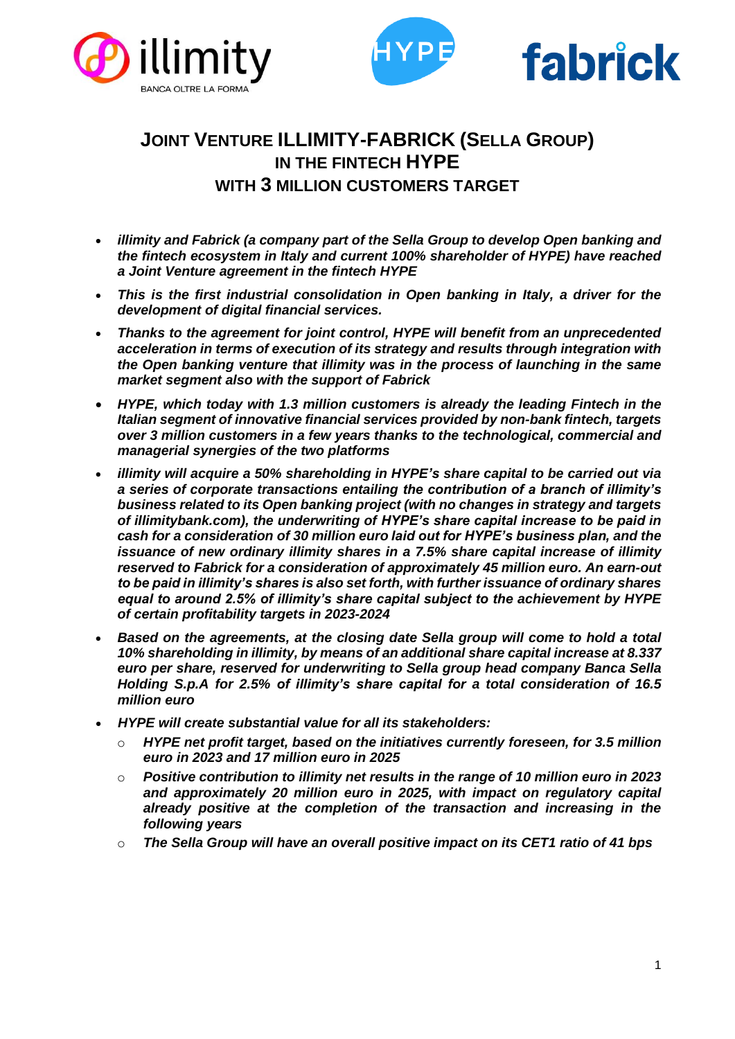





# **JOINT VENTURE ILLIMITY-FABRICK (SELLA GROUP) IN THE FINTECH HYPE WITH 3 MILLION CUSTOMERS TARGET**

- *illimity and Fabrick (a company part of the Sella Group to develop Open banking and the fintech ecosystem in Italy and current 100% shareholder of HYPE) have reached a Joint Venture agreement in the fintech HYPE*
- *This is the first industrial consolidation in Open banking in Italy, a driver for the development of digital financial services.*
- *Thanks to the agreement for joint control, HYPE will benefit from an unprecedented acceleration in terms of execution of its strategy and results through integration with the Open banking venture that illimity was in the process of launching in the same market segment also with the support of Fabrick*
- *HYPE, which today with 1.3 million customers is already the leading Fintech in the Italian segment of innovative financial services provided by non-bank fintech, targets over 3 million customers in a few years thanks to the technological, commercial and managerial synergies of the two platforms*
- *illimity will acquire a 50% shareholding in HYPE's share capital to be carried out via a series of corporate transactions entailing the contribution of a branch of illimity's business related to its Open banking project (with no changes in strategy and targets of illimitybank.com), the underwriting of HYPE's share capital increase to be paid in cash for a consideration of 30 million euro laid out for HYPE's business plan, and the issuance of new ordinary illimity shares in a 7.5% share capital increase of illimity reserved to Fabrick for a consideration of approximately 45 million euro. An earn-out to be paid in illimity's shares is also set forth, with further issuance of ordinary shares equal to around 2.5% of illimity's share capital subject to the achievement by HYPE of certain profitability targets in 2023-2024*
- *Based on the agreements, at the closing date Sella group will come to hold a total 10% shareholding in illimity, by means of an additional share capital increase at 8.337 euro per share, reserved for underwriting to Sella group head company Banca Sella Holding S.p.A for 2.5% of illimity's share capital for a total consideration of 16.5 million euro*
- *HYPE will create substantial value for all its stakeholders:*
	- o *HYPE net profit target, based on the initiatives currently foreseen, for 3.5 million euro in 2023 and 17 million euro in 2025*
	- o *Positive contribution to illimity net results in the range of 10 million euro in 2023 and approximately 20 million euro in 2025, with impact on regulatory capital already positive at the completion of the transaction and increasing in the following years*
	- o *The Sella Group will have an overall positive impact on its CET1 ratio of 41 bps*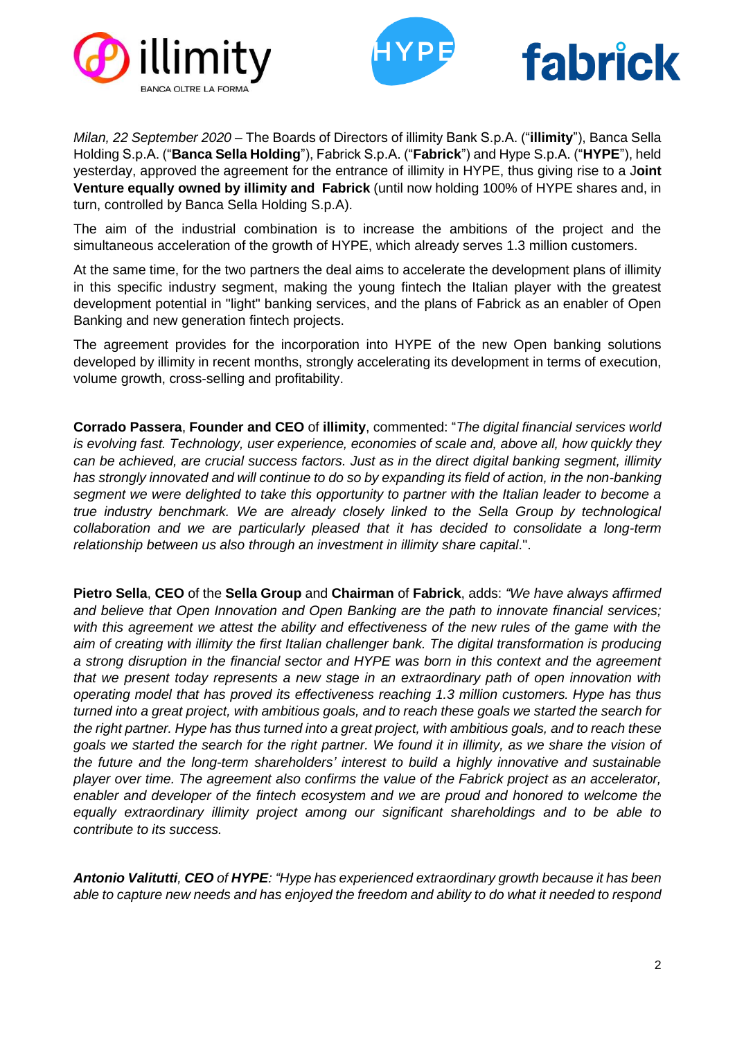





*Milan, 22 September 2020* – The Boards of Directors of illimity Bank S.p.A. ("**illimity**"), Banca Sella Holding S.p.A. ("**Banca Sella Holding**"), Fabrick S.p.A. ("**Fabrick**") and Hype S.p.A. ("**HYPE**"), held yesterday, approved the agreement for the entrance of illimity in HYPE, thus giving rise to a J**oint Venture equally owned by illimity and Fabrick** (until now holding 100% of HYPE shares and, in turn, controlled by Banca Sella Holding S.p.A).

The aim of the industrial combination is to increase the ambitions of the project and the simultaneous acceleration of the growth of HYPE, which already serves 1.3 million customers.

At the same time, for the two partners the deal aims to accelerate the development plans of illimity in this specific industry segment, making the young fintech the Italian player with the greatest development potential in "light" banking services, and the plans of Fabrick as an enabler of Open Banking and new generation fintech projects.

The agreement provides for the incorporation into HYPE of the new Open banking solutions developed by illimity in recent months, strongly accelerating its development in terms of execution, volume growth, cross-selling and profitability.

**Corrado Passera**, **Founder and CEO** of **illimity**, commented: "*The digital financial services world is evolving fast. Technology, user experience, economies of scale and, above all, how quickly they can be achieved, are crucial success factors. Just as in the direct digital banking segment, illimity has strongly innovated and will continue to do so by expanding its field of action, in the non-banking segment we were delighted to take this opportunity to partner with the Italian leader to become a true industry benchmark. We are already closely linked to the Sella Group by technological collaboration and we are particularly pleased that it has decided to consolidate a long-term relationship between us also through an investment in illimity share capital*.".

**Pietro Sella**, **CEO** of the **Sella Group** and **Chairman** of **Fabrick**, adds: *"We have always affirmed and believe that Open Innovation and Open Banking are the path to innovate financial services;*  with this agreement we attest the ability and effectiveness of the new rules of the game with the *aim of creating with illimity the first Italian challenger bank. The digital transformation is producing a strong disruption in the financial sector and HYPE was born in this context and the agreement that we present today represents a new stage in an extraordinary path of open innovation with operating model that has proved its effectiveness reaching 1.3 million customers. Hype has thus turned into a great project, with ambitious goals, and to reach these goals we started the search for the right partner. Hype has thus turned into a great project, with ambitious goals, and to reach these goals we started the search for the right partner. We found it in illimity, as we share the vision of the future and the long-term shareholders' interest to build a highly innovative and sustainable player over time. The agreement also confirms the value of the Fabrick project as an accelerator, enabler and developer of the fintech ecosystem and we are proud and honored to welcome the equally extraordinary illimity project among our significant shareholdings and to be able to contribute to its success.* 

*Antonio Valitutti, CEO of HYPE: "Hype has experienced extraordinary growth because it has been able to capture new needs and has enjoyed the freedom and ability to do what it needed to respond*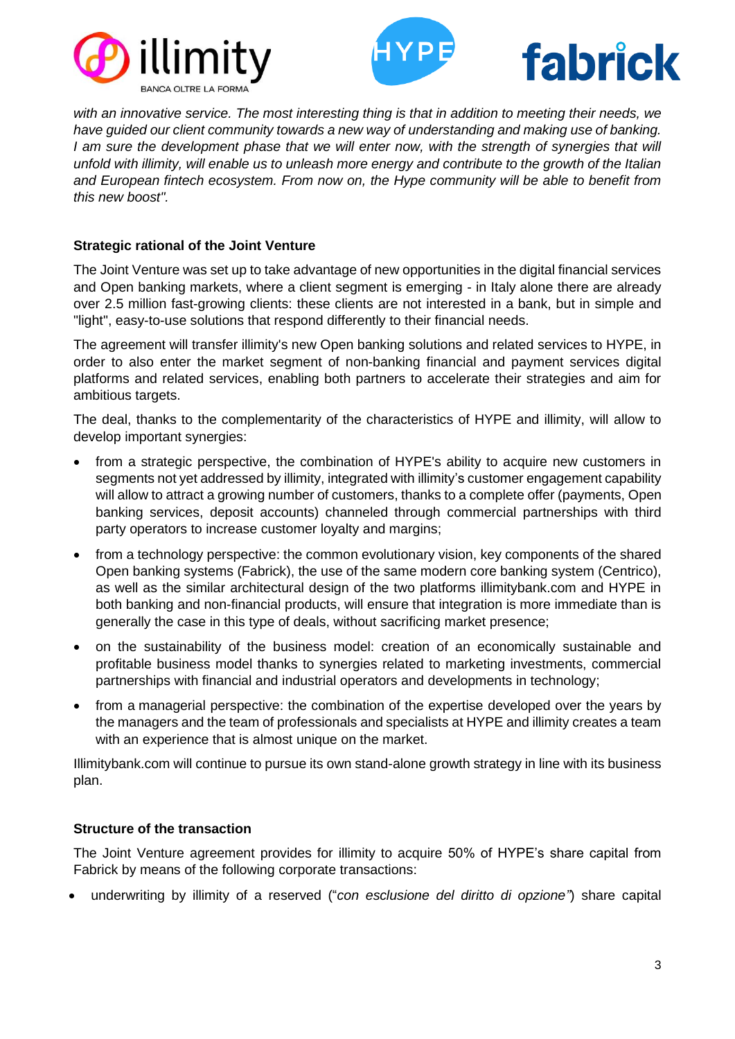





*with an innovative service. The most interesting thing is that in addition to meeting their needs, we have guided our client community towards a new way of understanding and making use of banking. I* am sure the development phase that we will enter now, with the strength of synergies that will *unfold with illimity, will enable us to unleash more energy and contribute to the growth of the Italian and European fintech ecosystem. From now on, the Hype community will be able to benefit from this new boost".*

# **Strategic rational of the Joint Venture**

The Joint Venture was set up to take advantage of new opportunities in the digital financial services and Open banking markets, where a client segment is emerging - in Italy alone there are already over 2.5 million fast-growing clients: these clients are not interested in a bank, but in simple and "light", easy-to-use solutions that respond differently to their financial needs.

The agreement will transfer illimity's new Open banking solutions and related services to HYPE, in order to also enter the market segment of non-banking financial and payment services digital platforms and related services, enabling both partners to accelerate their strategies and aim for ambitious targets.

The deal, thanks to the complementarity of the characteristics of HYPE and illimity, will allow to develop important synergies:

- from a strategic perspective, the combination of HYPE's ability to acquire new customers in segments not yet addressed by illimity, integrated with illimity's customer engagement capability will allow to attract a growing number of customers, thanks to a complete offer (payments, Open banking services, deposit accounts) channeled through commercial partnerships with third party operators to increase customer loyalty and margins;
- from a technology perspective: the common evolutionary vision, key components of the shared Open banking systems (Fabrick), the use of the same modern core banking system (Centrico), as well as the similar architectural design of the two platforms illimitybank.com and HYPE in both banking and non-financial products, will ensure that integration is more immediate than is generally the case in this type of deals, without sacrificing market presence;
- on the sustainability of the business model: creation of an economically sustainable and profitable business model thanks to synergies related to marketing investments, commercial partnerships with financial and industrial operators and developments in technology;
- from a managerial perspective: the combination of the expertise developed over the years by the managers and the team of professionals and specialists at HYPE and illimity creates a team with an experience that is almost unique on the market.

Illimitybank.com will continue to pursue its own stand-alone growth strategy in line with its business plan.

## **Structure of the transaction**

The Joint Venture agreement provides for illimity to acquire 50% of HYPE's share capital from Fabrick by means of the following corporate transactions:

• underwriting by illimity of a reserved ("*con esclusione del diritto di opzione"*) share capital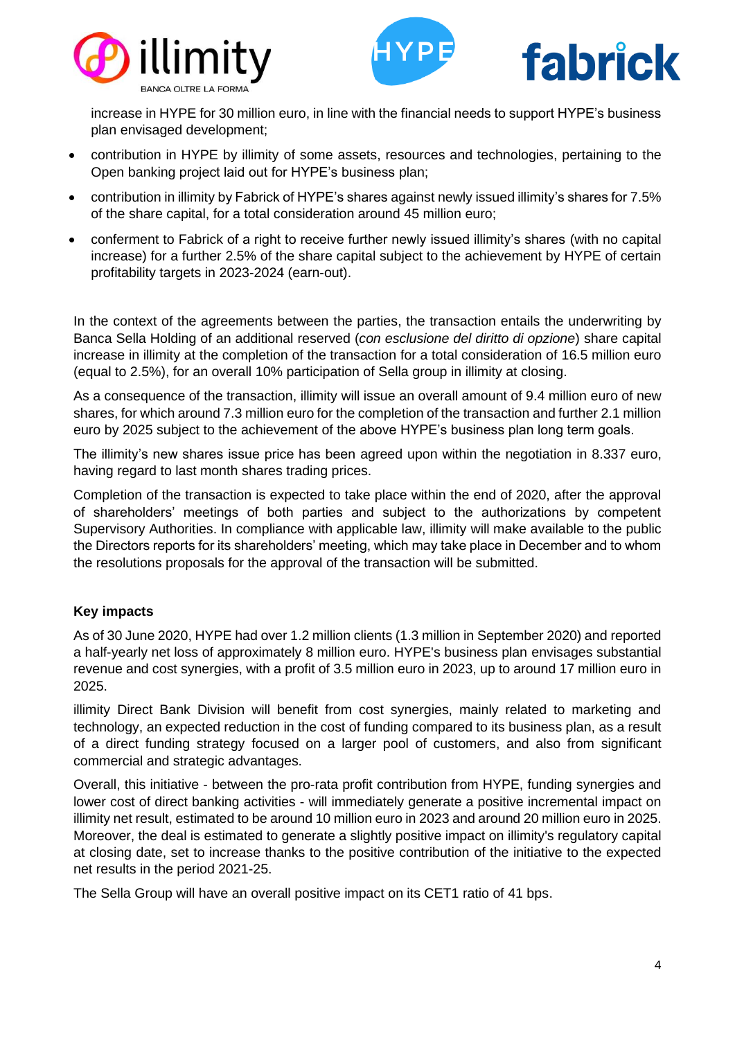





increase in HYPE for 30 million euro, in line with the financial needs to support HYPE's business plan envisaged development;

- contribution in HYPE by illimity of some assets, resources and technologies, pertaining to the Open banking project laid out for HYPE's business plan;
- contribution in illimity by Fabrick of HYPE's shares against newly issued illimity's shares for 7.5% of the share capital, for a total consideration around 45 million euro;
- conferment to Fabrick of a right to receive further newly issued illimity's shares (with no capital increase) for a further 2.5% of the share capital subject to the achievement by HYPE of certain profitability targets in 2023-2024 (earn-out).

In the context of the agreements between the parties, the transaction entails the underwriting by Banca Sella Holding of an additional reserved (*con esclusione del diritto di opzione*) share capital increase in illimity at the completion of the transaction for a total consideration of 16.5 million euro (equal to 2.5%), for an overall 10% participation of Sella group in illimity at closing.

As a consequence of the transaction, illimity will issue an overall amount of 9.4 million euro of new shares, for which around 7.3 million euro for the completion of the transaction and further 2.1 million euro by 2025 subject to the achievement of the above HYPE's business plan long term goals.

The illimity's new shares issue price has been agreed upon within the negotiation in 8.337 euro, having regard to last month shares trading prices.

Completion of the transaction is expected to take place within the end of 2020, after the approval of shareholders' meetings of both parties and subject to the authorizations by competent Supervisory Authorities. In compliance with applicable law, illimity will make available to the public the Directors reports for its shareholders' meeting, which may take place in December and to whom the resolutions proposals for the approval of the transaction will be submitted.

# **Key impacts**

As of 30 June 2020, HYPE had over 1.2 million clients (1.3 million in September 2020) and reported a half-yearly net loss of approximately 8 million euro. HYPE's business plan envisages substantial revenue and cost synergies, with a profit of 3.5 million euro in 2023, up to around 17 million euro in 2025.

illimity Direct Bank Division will benefit from cost synergies, mainly related to marketing and technology, an expected reduction in the cost of funding compared to its business plan, as a result of a direct funding strategy focused on a larger pool of customers, and also from significant commercial and strategic advantages.

Overall, this initiative - between the pro-rata profit contribution from HYPE, funding synergies and lower cost of direct banking activities - will immediately generate a positive incremental impact on illimity net result, estimated to be around 10 million euro in 2023 and around 20 million euro in 2025. Moreover, the deal is estimated to generate a slightly positive impact on illimity's regulatory capital at closing date, set to increase thanks to the positive contribution of the initiative to the expected net results in the period 2021-25.

The Sella Group will have an overall positive impact on its CET1 ratio of 41 bps.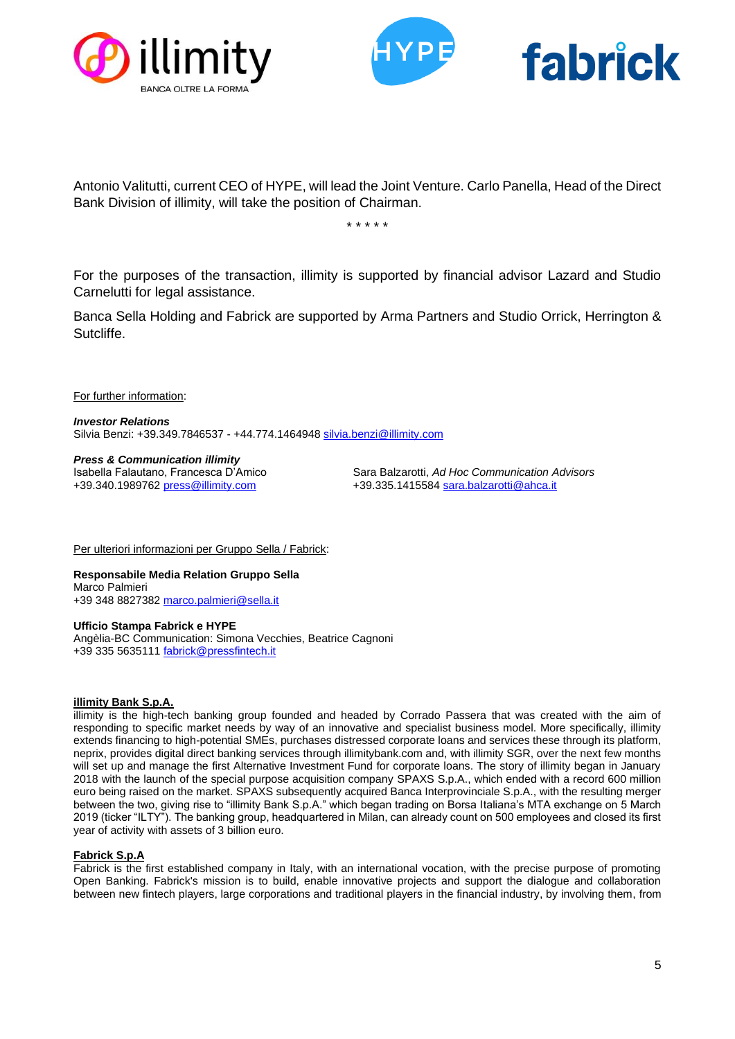





Antonio Valitutti, current CEO of HYPE, will lead the Joint Venture. Carlo Panella, Head of the Direct Bank Division of illimity, will take the position of Chairman.

\* \* \* \* \*

For the purposes of the transaction, illimity is supported by financial advisor Lazard and Studio Carnelutti for legal assistance.

Banca Sella Holding and Fabrick are supported by Arma Partners and Studio Orrick, Herrington & Sutcliffe.

For further information:

*Investor Relations* Silvia Benzi: +39.349.7846537 - +44.774.1464948 [silvia.benzi@illimity.com](mailto:silvia.benzi@illimity.com)

*Press & Communication illimity*

Sara Balzarotti, Ad Hoc Communication Advisors +39.340.1989762 [press@illimity.com](mailto:press@illimity.com) +39.335.1415584 [sara.balzarotti@ahca.it](mailto:sara.balzarotti@ahca.it)

Per ulteriori informazioni per Gruppo Sella / Fabrick:

**Responsabile Media Relation Gruppo Sella** Marco Palmieri +39 348 8827382 [marco.palmieri@sella.it](mailto:marco.palmieri@sella.it)

#### **Ufficio Stampa Fabrick e HYPE**

Angèlia-BC Communication: Simona Vecchies, Beatrice Cagnoni +39 335 5635111 [fabrick@pressfintech.it](mailto:fabrick@pressfintech.it)

## **illimity Bank S.p.A.**

illimity is the high-tech banking group founded and headed by Corrado Passera that was created with the aim of responding to specific market needs by way of an innovative and specialist business model. More specifically, illimity extends financing to high-potential SMEs, purchases distressed corporate loans and services these through its platform, neprix, provides digital direct banking services through illimitybank.com and, with illimity SGR, over the next few months will set up and manage the first Alternative Investment Fund for corporate loans. The story of illimity began in January 2018 with the launch of the special purpose acquisition company SPAXS S.p.A., which ended with a record 600 million euro being raised on the market. SPAXS subsequently acquired Banca Interprovinciale S.p.A., with the resulting merger between the two, giving rise to "illimity Bank S.p.A." which began trading on Borsa Italiana's MTA exchange on 5 March 2019 (ticker "ILTY"). The banking group, headquartered in Milan, can already count on 500 employees and closed its first year of activity with assets of 3 billion euro.

## **Fabrick S.p.A**

Fabrick is the first established company in Italy, with an international vocation, with the precise purpose of promoting Open Banking. Fabrick's mission is to build, enable innovative projects and support the dialogue and collaboration between new fintech players, large corporations and traditional players in the financial industry, by involving them, from